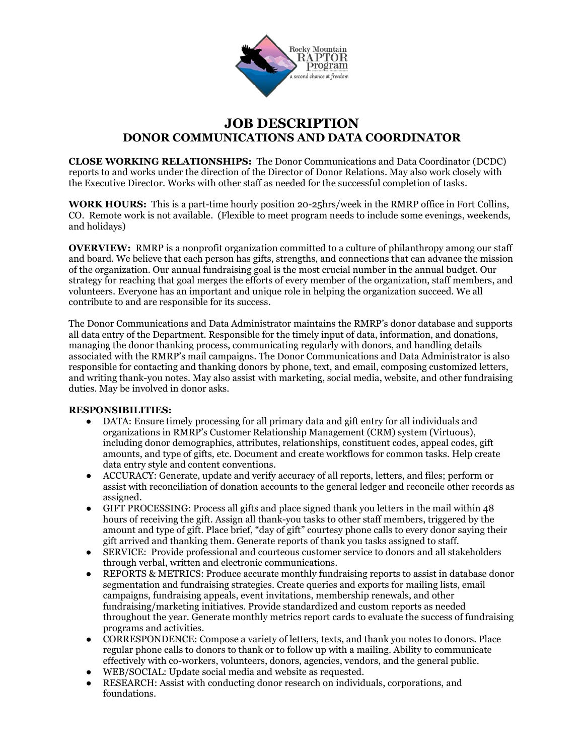

## **JOB DESCRIPTION DONOR COMMUNICATIONS AND DATA COORDINATOR**

**CLOSE WORKING RELATIONSHIPS:** The Donor Communications and Data Coordinator (DCDC) reports to and works under the direction of the Director of Donor Relations. May also work closely with the Executive Director. Works with other staff as needed for the successful completion of tasks.

**WORK HOURS:** This is a part-time hourly position 20-25hrs/week in the RMRP office in Fort Collins, CO. Remote work is not available. (Flexible to meet program needs to include some evenings, weekends, and holidays)

**OVERVIEW:** RMRP is a nonprofit organization committed to a culture of philanthropy among our staff and board. We believe that each person has gifts, strengths, and connections that can advance the mission of the organization. Our annual fundraising goal is the most crucial number in the annual budget. Our strategy for reaching that goal merges the efforts of every member of the organization, staff members, and volunteers. Everyone has an important and unique role in helping the organization succeed. We all contribute to and are responsible for its success.

The Donor Communications and Data Administrator maintains the RMRP's donor database and supports all data entry of the Department. Responsible for the timely input of data, information, and donations, managing the donor thanking process, communicating regularly with donors, and handling details associated with the RMRP's mail campaigns. The Donor Communications and Data Administrator is also responsible for contacting and thanking donors by phone, text, and email, composing customized letters, and writing thank-you notes. May also assist with marketing, social media, website, and other fundraising duties. May be involved in donor asks.

## **RESPONSIBILITIES:**

- DATA: Ensure timely processing for all primary data and gift entry for all individuals and organizations in RMRP's Customer Relationship Management (CRM) system (Virtuous), including donor demographics, attributes, relationships, constituent codes, appeal codes, gift amounts, and type of gifts, etc. Document and create workflows for common tasks. Help create data entry style and content conventions.
- ACCURACY: Generate, update and verify accuracy of all reports, letters, and files; perform or assist with reconciliation of donation accounts to the general ledger and reconcile other records as assigned.
- GIFT PROCESSING: Process all gifts and place signed thank you letters in the mail within 48 hours of receiving the gift. Assign all thank-you tasks to other staff members, triggered by the amount and type of gift. Place brief, "day of gift" courtesy phone calls to every donor saying their gift arrived and thanking them. Generate reports of thank you tasks assigned to staff.
- SERVICE: Provide professional and courteous customer service to donors and all stakeholders through verbal, written and electronic communications.
- REPORTS & METRICS: Produce accurate monthly fundraising reports to assist in database donor segmentation and fundraising strategies. Create queries and exports for mailing lists, email campaigns, fundraising appeals, event invitations, membership renewals, and other fundraising/marketing initiatives. Provide standardized and custom reports as needed throughout the year. Generate monthly metrics report cards to evaluate the success of fundraising programs and activities.
- CORRESPONDENCE: Compose a variety of letters, texts, and thank you notes to donors. Place regular phone calls to donors to thank or to follow up with a mailing. Ability to communicate effectively with co-workers, volunteers, donors, agencies, vendors, and the general public.
- WEB/SOCIAL: Update social media and website as requested.
- RESEARCH: Assist with conducting donor research on individuals, corporations, and foundations.